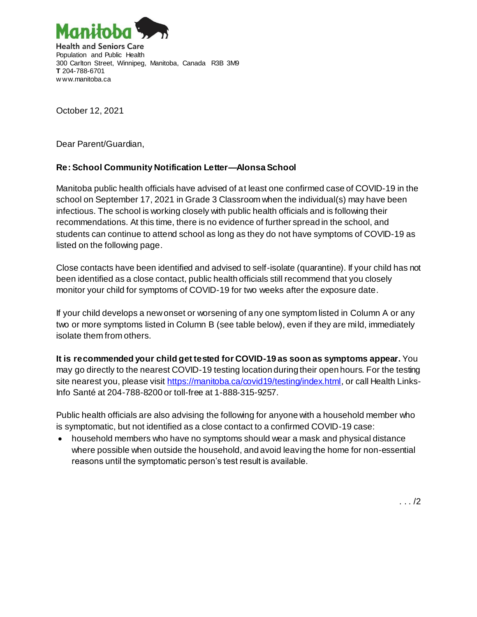

October 12, 2021

Dear Parent/Guardian,

## **Re: School Community Notification Letter—AlonsaSchool**

Manitoba public health officials have advised of at least one confirmed case of COVID-19 in the school on September 17, 2021 in Grade 3 Classroom when the individual(s) may have been infectious. The school is working closely with public health officials and is following their recommendations. At this time, there is no evidence of further spread in the school, and students can continue to attend school as long as they do not have symptoms of COVID-19 as listed on the following page.

Close contacts have been identified and advised to self-isolate (quarantine). If your child has not been identified as a close contact, public health officials still recommend that you closely monitor your child for symptoms of COVID-19 for two weeks after the exposure date.

If your child develops a new onset or worsening of any one symptom listed in Column A or any two or more symptoms listed in Column B (see table below), even if they are mild, immediately isolate them from others.

**It is recommended your child get tested for COVID-19 as soon as symptoms appear.** You may go directly to the nearest COVID-19 testing location during their open hours. For the testing site nearest you, please visit <https://manitoba.ca/covid19/testing/index.html>, or call Health Links-Info Santé at 204-788-8200 or toll-free at 1-888-315-9257.

Public health officials are also advising the following for anyone with a household member who is symptomatic, but not identified as a close contact to a confirmed COVID-19 case:

• household members who have no symptoms should wear a mask and physical distance where possible when outside the household, and avoid leaving the home for non-essential reasons until the symptomatic person's test result is available.